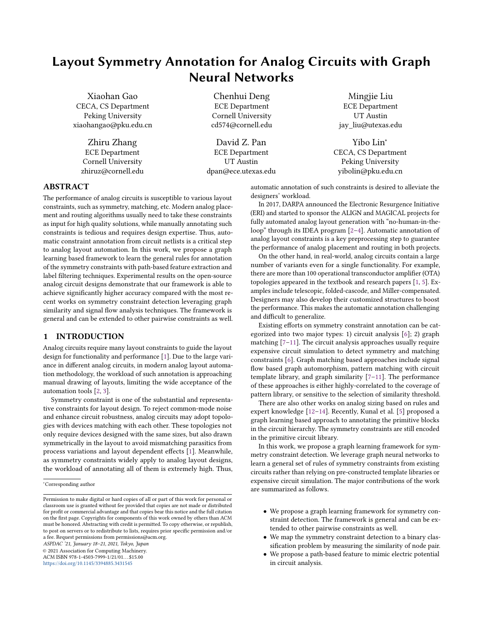# Layout Symmetry Annotation for Analog Circuits with Graph Neural Networks

Xiaohan Gao CECA, CS Department Peking University xiaohangao@pku.edu.cn

> Zhiru Zhang ECE Department Cornell University zhiruz@cornell.edu

Chenhui Deng ECE Department Cornell University cd574@cornell.edu

David Z. Pan ECE Department UT Austin dpan@ece.utexas.edu

Mingjie Liu ECE Department UT Austin jay\_liu@utexas.edu

Yibo Lin<sup>∗</sup> CECA, CS Department Peking University yibolin@pku.edu.cn

## ABSTRACT

The performance of analog circuits is susceptible to various layout constraints, such as symmetry, matching, etc. Modern analog placement and routing algorithms usually need to take these constraints as input for high quality solutions, while manually annotating such constraints is tedious and requires design expertise. Thus, automatic constraint annotation from circuit netlists is a critical step to analog layout automation. In this work, we propose a graph learning based framework to learn the general rules for annotation of the symmetry constraints with path-based feature extraction and label filtering techniques. Experimental results on the open-source analog circuit designs demonstrate that our framework is able to achieve significantly higher accuracy compared with the most recent works on symmetry constraint detection leveraging graph similarity and signal flow analysis techniques. The framework is general and can be extended to other pairwise constraints as well.

## 1 INTRODUCTION

Analog circuits require many layout constraints to guide the layout design for functionality and performance [\[1\]](#page-5-0). Due to the large variance in different analog circuits, in modern analog layout automation methodology, the workload of such annotation is approaching manual drawing of layouts, limiting the wide acceptance of the automation tools [\[2,](#page-5-1) [3\]](#page-5-2).

Symmetry constraint is one of the substantial and representative constraints for layout design. To reject common-mode noise and enhance circuit robustness, analog circuits may adopt topologies with devices matching with each other. These topologies not only require devices designed with the same sizes, but also drawn symmetrically in the layout to avoid mismatching parasitics from process variations and layout dependent effects [\[1\]](#page-5-0). Meanwhile, as symmetry constraints widely apply to analog layout designs, the workload of annotating all of them is extremely high. Thus,

ASPDAC '21, January 18–21, 2021, Tokyo, Japan

© 2021 Association for Computing Machinery.

ACM ISBN 978-1-4503-7999-1/21/01... \$15.00

<https://doi.org/10.1145/3394885.3431545>

automatic annotation of such constraints is desired to alleviate the designers' workload.

In 2017, DARPA announced the Electronic Resurgence Initiative (ERI) and started to sponsor the ALIGN and MAGICAL projects for fully automated analog layout generation with "no-human-in-theloop" through its IDEA program [\[2](#page-5-1)[–4\]](#page-5-3). Automatic annotation of analog layout constraints is a key preprocessing step to guarantee the performance of analog placement and routing in both projects.

On the other hand, in real-world, analog circuits contain a large number of variants even for a single functionality. For example, there are more than 100 operational transconductor amplifier (OTA) topologies appeared in the textbook and research papers [\[1,](#page-5-0) [5\]](#page-5-4). Examples include telescopic, folded-cascode, and Miller-compensated. Designers may also develop their customized structures to boost the performance. This makes the automatic annotation challenging and difficult to generalize.

Existing efforts on symmetry constraint annotation can be categorized into two major types: 1) circuit analysis [\[6\]](#page-5-5); 2) graph matching [\[7](#page-5-6)[–11\]](#page-5-7). The circuit analysis approaches usually require expensive circuit simulation to detect symmetry and matching constraints [\[6\]](#page-5-5). Graph matching based approaches include signal flow based graph automorphism, pattern matching with circuit template library, and graph similarity [\[7–](#page-5-6)[11\]](#page-5-7). The performance of these approaches is either highly-correlated to the coverage of pattern library, or sensitive to the selection of similarity threshold.

There are also other works on analog sizing based on rules and expert knowledge [\[12](#page-5-8)[–14\]](#page-5-9). Recently, Kunal et al. [\[5\]](#page-5-4) proposed a graph learning based approach to annotating the primitive blocks in the circuit hierarchy. The symmetry constraints are still encoded in the primitive circuit library.

In this work, we propose a graph learning framework for symmetry constraint detection. We leverage graph neural networks to learn a general set of rules of symmetry constraints from existing circuits rather than relying on pre-constructed template libraries or expensive circuit simulation. The major contributions of the work are summarized as follows.

- We propose a graph learning framework for symmetry constraint detection. The framework is general and can be extended to other pairwise constraints as well.
- We map the symmetry constraint detection to a binary classification problem by measuring the similarity of node pair.
- We propose a path-based feature to mimic electric potential in circuit analysis.

<sup>∗</sup>Corresponding author

Permission to make digital or hard copies of all or part of this work for personal or classroom use is granted without fee provided that copies are not made or distributed for profit or commercial advantage and that copies bear this notice and the full citation on the first page. Copyrights for components of this work owned by others than ACM must be honored. Abstracting with credit is permitted. To copy otherwise, or republish, to post on servers or to redistribute to lists, requires prior specific permission and/or a fee. Request permissions from permissions@acm.org.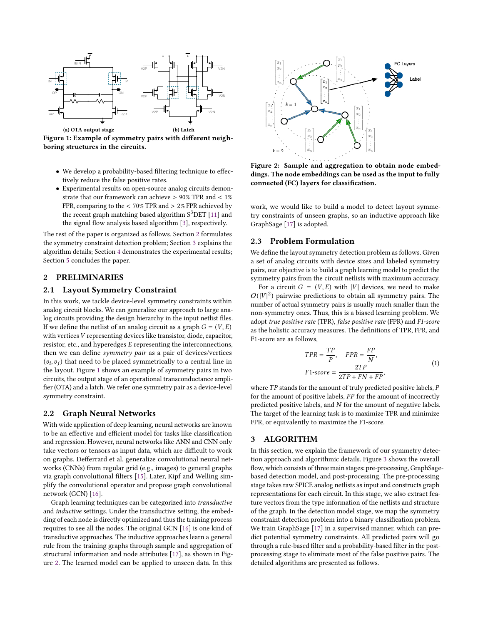<span id="page-1-2"></span>

<span id="page-1-4"></span>Figure 1: Example of symmetry pairs with different neighboring structures in the circuits.

- We develop a probability-based filtering technique to effectively reduce the false positive rates.
- Experimental results on open-source analog circuits demonstrate that our framework can achieve > 90% TPR and < 1% FPR, comparing to the < 70% TPR and > 2% FPR achieved by the recent graph matching based algorithm  $S<sup>3</sup>$ DET [\[11\]](#page-5-7) and the signal flow analysis based algorithm [\[3\]](#page-5-2), respectively.

The rest of the paper is organized as follows. Section [2](#page-1-0) formulates the symmetry constraint detection problem; Section [3](#page-1-1) explains the algorithm details; Section [4](#page-4-0) demonstrates the experimental results; Section [5](#page-5-10) concludes the paper.

# <span id="page-1-0"></span>2 PRELIMINARIES

## 2.1 Layout Symmetry Constraint

In this work, we tackle device-level symmetry constraints within analog circuit blocks. We can generalize our approach to large analog circuits providing the design hierarchy in the input netlist files. If we define the netlist of an analog circuit as a graph  $G = (V, E)$ with vertices  $V$  representing devices like transistor, diode, capacitor, resistor, etc., and hyperedges  $E$  representing the interconnections, then we can define symmetry pair as a pair of devices/vertices  $(v_i, v_j)$  that need to be placed symmetrically to a central line in the layout. Figure [1](#page-1-2) shows an example of symmetry pairs in two circuits, the output stage of an operational transconductance amplifier (OTA) and a latch. We refer one symmetry pair as a device-level symmetry constraint.

#### 2.2 Graph Neural Networks

With wide application of deep learning, neural networks are known to be an effective and efficient model for tasks like classification and regression. However, neural networks like ANN and CNN only take vectors or tensors as input data, which are difficult to work on graphs. Defferrard et al. generalize convolutional neural networks (CNNs) from regular grid (e.g., images) to general graphs via graph convolutional filters [\[15\]](#page-5-11). Later, Kipf and Welling simplify the convolutional operator and propose graph convolutional network (GCN) [\[16\]](#page-5-12).

Graph learning techniques can be categorized into transductive and inductive settings. Under the transductive setting, the embedding of each node is directly optimized and thus the training process requires to see all the nodes. The original GCN [\[16\]](#page-5-12) is one kind of transductive approaches. The inductive approaches learn a general rule from the training graphs through sample and aggregation of structural information and node attributes [\[17\]](#page-5-13), as shown in Figure [2.](#page-1-3) The learned model can be applied to unseen data. In this

<span id="page-1-3"></span>

Figure 2: Sample and aggregation to obtain node embeddings. The node embeddings can be used as the input to fully connected (FC) layers for classification.

work, we would like to build a model to detect layout symmetry constraints of unseen graphs, so an inductive approach like GraphSage [\[17\]](#page-5-13) is adopted.

#### 2.3 Problem Formulation

We define the layout symmetry detection problem as follows. Given a set of analog circuits with device sizes and labeled symmetry pairs, our objective is to build a graph learning model to predict the symmetry pairs from the circuit netlists with maximum accuracy.

For a circuit  $G = (V, E)$  with |V| devices, we need to make  $O(|V|^2)$  pairwise predictions to obtain all symmetry pairs. The number of actual symmetry pairs is usually much smaller than the non-symmetry ones. Thus, this is a biased learning problem. We adopt true positive rate (TPR), false positive rate (FPR) and F1-score as the holistic accuracy measures. The definitions of TPR, FPR, and F1-score are as follows,

$$
TPR = \frac{TP}{P}, \quad FPR = \frac{FP}{N},
$$
  
\n
$$
F1\text{-}score = \frac{2TP}{2TP + FN + FP},
$$
  
\n(1)

where  $TP$  stands for the amount of truly predicted positive labels,  $P$ for the amount of positive labels,  $FP$  for the amount of incorrectly predicted positive labels, and  $N$  for the amount of negative labels. The target of the learning task is to maximize TPR and minimize FPR, or equivalently to maximize the F1-score.

#### <span id="page-1-1"></span>3 ALGORITHM

In this section, we explain the framework of our symmetry detection approach and algorithmic details. Figure [3](#page-2-0) shows the overall flow, which consists of three main stages: pre-processing, GraphSagebased detection model, and post-processing. The pre-processing stage takes raw SPICE analog netlists as input and constructs graph representations for each circuit. In this stage, we also extract feature vectors from the type information of the netlists and structure of the graph. In the detection model stage, we map the symmetry constraint detection problem into a binary classification problem. We train GraphSage [\[17\]](#page-5-13) in a supervised manner, which can predict potential symmetry constraints. All predicted pairs will go through a rule-based filter and a probability-based filter in the postprocessing stage to eliminate most of the false positive pairs. The detailed algorithms are presented as follows.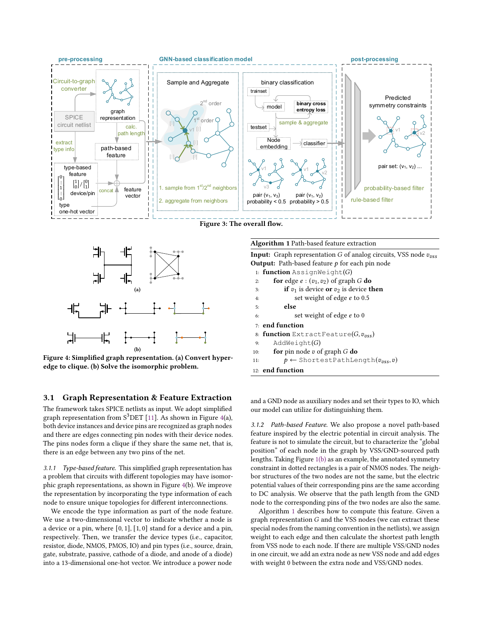<span id="page-2-0"></span>

Figure 3: The overall flow.

<span id="page-2-1"></span>

Figure 4: Simplified graph representation. (a) Convert hyperedge to clique. (b) Solve the isomorphic problem.

## 3.1 Graph Representation & Feature Extraction

The framework takes SPICE netlists as input. We adopt simplified graph representation from  $S^3$ DET [\[11\]](#page-5-7). As shown in Figure [4\(](#page-2-1)a), both device instances and device pins are recognized as graph nodes and there are edges connecting pin nodes with their device nodes. The pins nodes form a clique if they share the same net, that is, there is an edge between any two pins of the net.

3.1.1 Type-based feature. This simplified graph representation has a problem that circuits with different topologies may have isomorphic graph representations, as shown in Figure [4\(](#page-2-1)b). We improve the representation by incorporating the type information of each node to ensure unique topologies for different interconnections.

We encode the type information as part of the node feature. We use a two-dimensional vector to indicate whether a node is a device or a pin, where  $[0, 1]$ ,  $[1, 0]$  stand for a device and a pin, respectively. Then, we transfer the device types (i.e., capacitor, resistor, diode, NMOS, PMOS, IO) and pin types (i.e., source, drain, gate, substrate, passive, cathode of a diode, and anode of a diode) into a 13-dimensional one-hot vector. We introduce a power node

#### <span id="page-2-2"></span>Algorithm 1 Path-based feature extraction

**Input:** Graph representation  $G$  of analog circuits, VSS node  $v_{\text{vss}}$ **Output:** Path-based feature  $p$  for each pin node

 $1:$  function AssignWeight $(G)$ 

|  |  |  | for edge $e:(v_1,v_2)$ of graph G do |  |
|--|--|--|--------------------------------------|--|
|--|--|--|--------------------------------------|--|

|  |  |  |  |  | <b>if</b> $v_1$ is device <b>or</b> $v_2$ is device <b>then</b> |  |
|--|--|--|--|--|-----------------------------------------------------------------|--|
|--|--|--|--|--|-----------------------------------------------------------------|--|

- 4: set weight of edge *e* to 0.5
- 5: else
- 6: set weight of edge *e* to 0
- 7: end function
- 8: function ExtractFeature( $G, v_{vss}$ )
- 9:  $AddWeight(G)$
- 10: **for** pin node  $v$  of graph  $G$  **do**
- 11:  $p \leftarrow \text{ShortestPathLength}(v_{vss}, v)$

12: end function

and a GND node as auxiliary nodes and set their types to IO, which our model can utilize for distinguishing them.

3.1.2 Path-based Feature. We also propose a novel path-based feature inspired by the electric potential in circuit analysis. The feature is not to simulate the circuit, but to characterize the "global position" of each node in the graph by VSS/GND-sourced path lengths. Taking Figure [1\(b\)](#page-1-4) as an example, the annotated symmetry constraint in dotted rectangles is a pair of NMOS nodes. The neighbor structures of the two nodes are not the same, but the electric potential values of their corresponding pins are the same according to DC analysis. We observe that the path length from the GND node to the corresponding pins of the two nodes are also the same.

Algorithm [1](#page-2-2) describes how to compute this feature. Given a graph representation  $G$  and the VSS nodes (we can extract these special nodes from the naming convention in the netlists), we assign weight to each edge and then calculate the shortest path length from VSS node to each node. If there are multiple VSS/GND nodes in one circuit, we add an extra node as new VSS node and add edges with weight 0 between the extra node and VSS/GND nodes.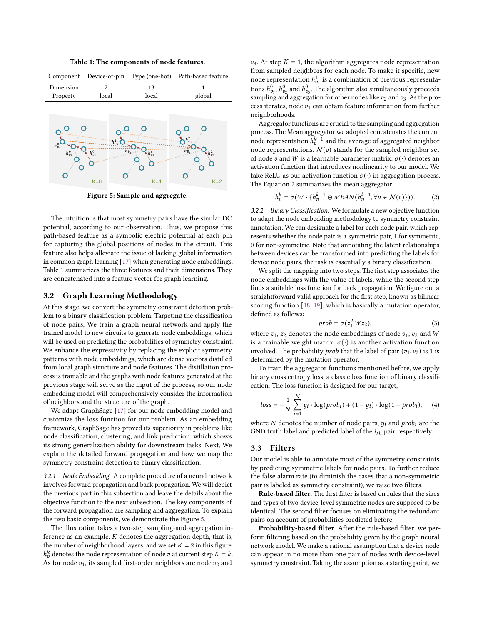Table 1: The components of node features.

<span id="page-3-1"></span><span id="page-3-0"></span>

Figure 5: Sample and aggregate.

The intuition is that most symmetry pairs have the similar DC potential, according to our observation. Thus, we propose this path-based feature as a symbolic electric potential at each pin for capturing the global positions of nodes in the circuit. This feature also helps alleviate the issue of lacking global information in common graph learning [\[17\]](#page-5-13) when generating node embeddings. Table [1](#page-3-0) summarizes the three features and their dimensions. They are concatenated into a feature vector for graph learning.

### 3.2 Graph Learning Methodology

At this stage, we convert the symmetry constraint detection problem to a binary classification problem. Targeting the classification of node pairs, We train a graph neural network and apply the trained model to new circuits to generate node embeddings, which will be used on predicting the probabilities of symmetry constraint. We enhance the expressivity by replacing the explicit symmetry patterns with node embeddings, which are dense vectors distilled from local graph structure and node features. The distillation process is trainable and the graphs with node features generated at the previous stage will serve as the input of the process, so our node embedding model will comprehensively consider the information of neighbors and the structure of the graph.

We adapt GraphSage [\[17\]](#page-5-13) for our node embedding model and customize the loss function for our problem. As an embedding framework, GraphSage has proved its superiority in problems like node classification, clustering, and link prediction, which shows its strong generalization ability for downstream tasks. Next, We explain the detailed forward propagation and how we map the symmetry constraint detection to binary classification.

3.2.1 Node Embedding. A complete procedure of a neural network involves forward propagation and back propagation. We will depict the previous part in this subsection and leave the details about the objective function to the next subsection. The key components of the forward propagation are sampling and aggregation. To explain the two basic components, we demonstrate the Figure [5.](#page-3-1)

The illustration takes a two-step sampling-and-aggregation inference as an example.  $K$  denotes the aggregation depth, that is, the number of neighborhood layers, and we set  $K = 2$  in this figure.  $h_n^k$  denotes the node representation of node v at current step  $K = k$ . As for node  $v_1$ , its sampled first-order neighbors are node  $v_2$  and

 $v_3$ . At step  $K = 1$ , the algorithm aggregates node representation from sampled neighbors for each node. To make it specific, new node representation  $h^1_{v_1}$  is a combination of previous representations  $h^0_{v_1},$   $h^0_{v_2}$  and  $h^0_{v_3}.$  The algorithm also simultaneously proceeds sampling and aggregation for other nodes like  $v_2$  and  $v_3$ . As the process iterates, node  $v_1$  can obtain feature information from further neighborhoods.

Aggregator functions are crucial to the sampling and aggregation process. The Mean aggregator we adopted concatenates the current node representation  $h_v^{k-1}$  and the average of aggregated neighbor node representations.  $N(v)$  stands for the sampled neighbor set of node v and W is a learnable parameter matrix.  $\sigma(\cdot)$  denotes an activation function that introduces nonlinearity to our model. We take ReLU as our activation function  $\sigma(\cdot)$  in aggregation process. The Equation [2](#page-3-2) summarizes the mean aggregator,

<span id="page-3-2"></span>
$$
h_v^k = \sigma(W \cdot \{h_v^{k-1} \oplus MEAN(h_u^{k-1}, \forall u \in \mathcal{N}(v)\})).
$$
 (2)

3.2.2 Binary Classification. We formulate a new objective function to adapt the node embedding methodology to symmetry constraint annotation. We can designate a label for each node pair, which represents whether the node pair is a symmetric pair, 1 for symmetric, 0 for non-symmetric. Note that annotating the latent relationships between devices can be transformed into predicting the labels for device node pairs, the task is essentially a binary classification.

We split the mapping into two steps. The first step associates the node embeddings with the value of labels, while the second step finds a suitable loss function for back propagation. We figure out a straightforward valid approach for the first step, known as bilinear scoring function [\[18,](#page-5-14) [19\]](#page-5-15), which is basically a mutation operator, defined as follows:

$$
prob = \sigma(z_1^T W z_2),\tag{3}
$$

where  $z_1$ ,  $z_2$  denotes the node embeddings of node  $v_1$ ,  $v_2$  and W is a trainable weight matrix.  $\sigma(\cdot)$  is another activation function involved. The probability *prob* that the label of pair  $(v_1, v_2)$  is 1 is determined by the mutation operator.

To train the aggregator functions mentioned before, we apply binary cross entropy loss, a classic loss function of binary classification. The loss function is designed for our target,

$$
loss = -\frac{1}{N} \sum_{i=1}^{N} y_i \cdot \log (prob_i) + (1 - y_i) \cdot \log (1 - prob_i), \quad (4)
$$

where  $N$  denotes the number of node pairs,  $y_i$  and  $prob_i$  are the GND truth label and predicted label of the  $i_{th}$  pair respectively.

#### 3.3 Filters

Our model is able to annotate most of the symmetry constraints by predicting symmetric labels for node pairs. To further reduce the false alarm rate (to diminish the cases that a non-symmetric pair is labeled as symmetry constraint), we raise two filters.

Rule-based filter. The first filter is based on rules that the sizes and types of two device-level symmetric nodes are supposed to be identical. The second filter focuses on eliminating the redundant pairs on account of probabilities predicted before.

Probability-based filter. After the rule-based filter, we perform filtering based on the probability given by the graph neural network model. We make a rational assumption that a device node can appear in no more than one pair of nodes with device-level symmetry constraint. Taking the assumption as a starting point, we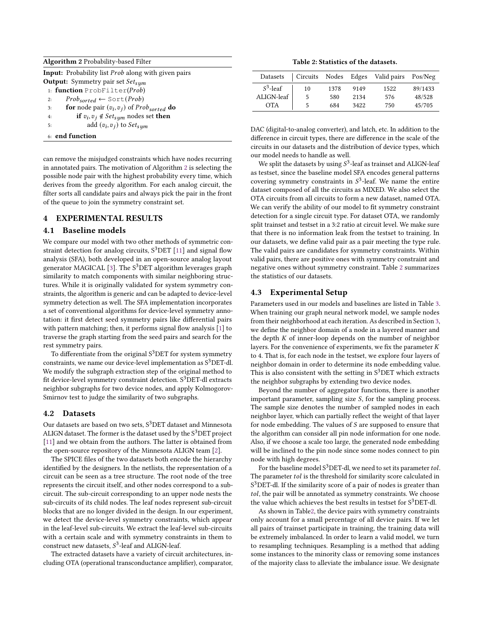<span id="page-4-1"></span>

| <b>Algorithm 2 Probability-based Filter</b>                                 |         |
|-----------------------------------------------------------------------------|---------|
| <b>Input:</b> Probability list <i>Prob</i> along with given pairs           |         |
| <b>Output:</b> Symmetry pair set $Set_{sum}$                                |         |
| 1: function $ProblemFinter(Prob)$                                           |         |
| $Prob_{sorted} \leftarrow \text{Sort}(Prob)$<br>2:                          |         |
| <b>for</b> node pair $(v_i, v_j)$ of Prob <sub>sorted</sub> <b>do</b><br>3: |         |
| if $v_i, v_j \notin Set_{sym}$ nodes set then<br>4:                         |         |
| add $(v_i, v_j)$ to $Set_{sym}$<br>5:                                       |         |
| 6: end function                                                             | D<br>di |

can remove the misjudged constraints which have nodes recurring in annotated pairs. The motivation of Algorithm [2](#page-4-1) is selecting the possible node pair with the highest probability every time, which derives from the greedy algorithm. For each analog circuit, the filter sorts all candidate pairs and always pick the pair in the front of the queue to join the symmetry constraint set.

## <span id="page-4-0"></span>4 EXPERIMENTAL RESULTS

#### 4.1 Baseline models

We compare our model with two other methods of symmetric constraint detection for analog circuits,  $S^3$ DET [\[11\]](#page-5-7) and signal flow analysis (SFA), both developed in an open-source analog layout generator MAGICAL [\[3\]](#page-5-2). The  $S^3$ DET algorithm leverages graph similarity to match components with similar neighboring structures. While it is originally validated for system symmetry constraints, the algorithm is generic and can be adapted to device-level symmetry detection as well. The SFA implementation incorporates a set of conventional algorithms for device-level symmetry annotation: it first detect seed symmetry pairs like differential pairs with pattern matching; then, it performs signal flow analysis [\[1\]](#page-5-0) to traverse the graph starting from the seed pairs and search for the rest symmetry pairs.

To differentiate from the original  $S^3$ DET for system symmetry constraints, we name our device-level implementation as  $S^3$ DET-dl. We modify the subgraph extraction step of the original method to fit device-level symmetry constraint detection.  $S<sup>3</sup>$ DET-dl extracts neighbor subgraphs for two device nodes, and apply Kolmogorov-Smirnov test to judge the similarity of two subgraphs.

#### 4.2 Datasets

Our datasets are based on two sets,  $S^3$ DET dataset and Minnesota ALIGN dataset. The former is the dataset used by the  $S<sup>3</sup>DET$  project [\[11\]](#page-5-7) and we obtain from the authors. The latter is obtained from the open-source repository of the Minnesota ALIGN team [\[2\]](#page-5-1).

The SPICE files of the two datasets both encode the hierarchy identified by the designers. In the netlists, the representation of a circuit can be seen as a tree structure. The root node of the tree represents the circuit itself, and other nodes correspond to a subcircuit. The sub-circuit corresponding to an upper node nests the sub-circuits of its child nodes. The leaf nodes represent sub-circuit blocks that are no longer divided in the design. In our experiment, we detect the device-level symmetry constraints, which appear in the leaf-level sub-circuits. We extract the leaf-level sub-circuits with a certain scale and with symmetry constraints in them to construct new datasets,  $S^3$ -leaf and ALIGN-leaf.

The extracted datasets have a variety of circuit architectures, including OTA (operational transconductance amplifier), comparator,

Table 2: Statistics of the datasets.

<span id="page-4-2"></span>

| Datasets    | Circuits Nodes Edges |      |      | Valid pairs | Pos/Neg |
|-------------|----------------------|------|------|-------------|---------|
| $S^3$ -leaf | 10                   | 1378 | 9149 | 1522        | 89/1433 |
| ALIGN-leaf  | 5                    | 580  | 2134 | 576         | 48/528  |
| <b>OTA</b>  | 5                    | 684  | 3422 | 750         | 45/705  |

AC (digital-to-analog converter), and latch, etc. In addition to the difference in circuit types, there are difference in the scale of the circuits in our datasets and the distribution of device types, which our model needs to handle as well.

We split the datasets by using  $S^3$ -leaf as trainset and ALIGN-leaf as testset, since the baseline model SFA encodes general patterns covering symmetry constraints in  $S^3$ -leaf. We name the entire dataset composed of all the circuits as MIXED. We also select the OTA circuits from all circuits to form a new dataset, named OTA. We can verify the ability of our model to fit symmetry constraint detection for a single circuit type. For dataset OTA, we randomly split trainset and testset in a 3:2 ratio at circuit level. We make sure that there is no information leak from the testset to training. In our datasets, we define valid pair as a pair meeting the type rule. The valid pairs are candidates for symmetry constraints. Within valid pairs, there are positive ones with symmetry constraint and negative ones without symmetry constraint. Table [2](#page-4-2) summarizes the statistics of our datasets.

#### 4.3 Experimental Setup

Parameters used in our models and baselines are listed in Table [3.](#page-5-16) When training our graph neural network model, we sample nodes from their neighborhood at each iteration. As described in Section [3,](#page-1-1) we define the neighbor domain of a node in a layered manner and the depth  $K$  of inner-loop depends on the number of neighbor layers. For the convenience of experiments, we fix the parameter  $K$ to 4. That is, for each node in the testset, we explore four layers of neighbor domain in order to determine its node embedding value. This is also consistent with the setting in  $S^3$ DET which extracts the neighbor subgraphs by extending two device nodes.

Beyond the number of aggregator functions, there is another important parameter, sampling size  $S$ , for the sampling process. The sample size denotes the number of sampled nodes in each neighbor layer, which can partially reflect the weight of that layer for node embedding. The values of  $S$  are supposed to ensure that the algorithm can consider all pin node information for one node. Also, if we choose a scale too large, the generated node embedding will be inclined to the pin node since some nodes connect to pin node with high degrees.

For the baseline model  $S^3$ DET-dl, we need to set its parameter tol. The parameter tol is the threshold for similarity score calculated in S<sup>3</sup>DET-dl. If the similarity score of a pair of nodes is greater than tol, the pair will be annotated as symmetry constraints. We choose the value which achieves the best results in testset for  $S^3$ DET-dl.

As shown in Tabl[e2,](#page-4-2) the device pairs with symmetry constraints only account for a small percentage of all device pairs. If we let all pairs of trainset participate in training, the training data will be extremely imbalanced. In order to learn a valid model, we turn to resampling techniques. Resampling is a method that adding some instances to the minority class or removing some instances of the majority class to alleviate the imbalance issue. We designate